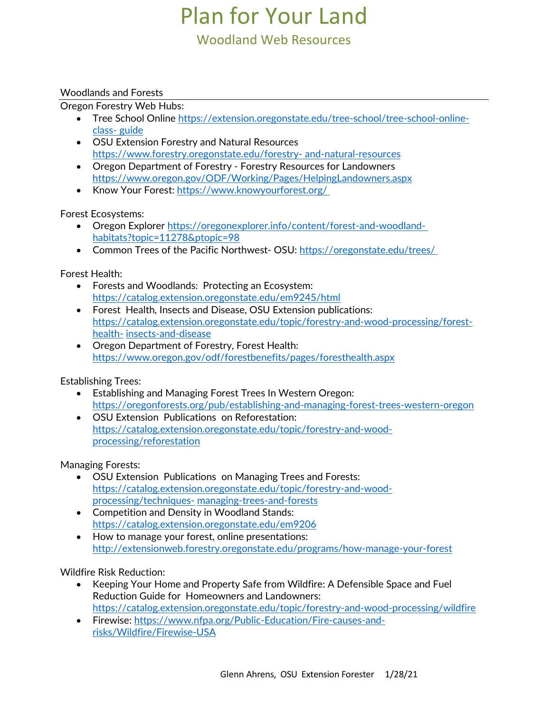# Plan for Your Land

## Woodland Web Resources

#### Woodlands and Forests

Oregon Forestry Web Hubs:

- Tree School Online [https://extension.oregonstate.edu/tree-school/tree-school-online](https://extension.oregonstate.edu/tree-school/tree-school-online-class-guide)[class-](https://extension.oregonstate.edu/tree-school/tree-school-online-class-guide) [guide](https://extension.oregonstate.edu/tree-school/tree-school-online-class-guide)
- OSU Extension Forestry and Natural Resources [https://www.forestry.oregonstate.edu/forestry-](https://www.forestry.oregonstate.edu/forestry-and-natural-resources) [and-natural-resources](https://www.forestry.oregonstate.edu/forestry-and-natural-resources)
- Oregon Department of Forestry Forestry Resources for Landowners <https://www.oregon.gov/ODF/Working/Pages/HelpingLandowners.aspx>
- Know Your Forest[: https://www.knowyourforest.org/](https://www.knowyourforest.org/)

Forest Ecosystems:

- Oregon Explorer [https://oregonexplorer.info/content/forest-and-woodland](https://oregonexplorer.info/content/forest-and-woodland-habitats?topic=11278&ptopic=98)[habitats?topic=11278&ptopic=98](https://oregonexplorer.info/content/forest-and-woodland-habitats?topic=11278&ptopic=98)
- Common Trees of the Pacific Northwest- OSU:<https://oregonstate.edu/trees/>

Forest Health:

- Forests and Woodlands: Protecting an Ecosystem: <https://catalog.extension.oregonstate.edu/em9245/html>
- Forest Health, Insects and Disease, OSU Extension publications: [https://catalog.extension.oregonstate.edu/topic/forestry-and-wood-processing/forest](https://catalog.extension.oregonstate.edu/topic/forestry-and-wood-processing/forest-health-insects-and-disease)[health-](https://catalog.extension.oregonstate.edu/topic/forestry-and-wood-processing/forest-health-insects-and-disease) [insects-and-disease](https://catalog.extension.oregonstate.edu/topic/forestry-and-wood-processing/forest-health-insects-and-disease)
- Oregon Department of Forestry, Forest Health: <https://www.oregon.gov/odf/forestbenefits/pages/foresthealth.aspx>

Establishing Trees:

- Establishing and Managing Forest Trees In Western Oregon: <https://oregonforests.org/pub/establishing-and-managing-forest-trees-western-oregon>
- OSU Extension Publications on Reforestation: [https://catalog.extension.oregonstate.edu/topic/forestry-and-wood](https://catalog.extension.oregonstate.edu/topic/forestry-and-wood-processing/reforestation)[processing/reforestation](https://catalog.extension.oregonstate.edu/topic/forestry-and-wood-processing/reforestation)

Managing Forests:

- OSU Extension Publications on Managing Trees and Forests: [https://catalog.extension.oregonstate.edu/topic/forestry-and-wood](https://catalog.extension.oregonstate.edu/topic/forestry-and-wood-processing/techniques-managing-trees-and-forests)[processing/techniques-](https://catalog.extension.oregonstate.edu/topic/forestry-and-wood-processing/techniques-managing-trees-and-forests) [managing-trees-and-forests](https://catalog.extension.oregonstate.edu/topic/forestry-and-wood-processing/techniques-managing-trees-and-forests)
- Competition and Density in Woodland Stands: <https://catalog.extension.oregonstate.edu/em9206>
- How to manage your forest, online presentations: <http://extensionweb.forestry.oregonstate.edu/programs/how-manage-your-forest>

Wildfire Risk Reduction:

- Keeping Your Home and Property Safe from Wildfire: A Defensible Space and Fuel Reduction Guide for Homeowners and Landowners: <https://catalog.extension.oregonstate.edu/topic/forestry-and-wood-processing/wildfire>
- Firewise: [https://www.nfpa.org/Public-Education/Fire-causes-and](https://www.nfpa.org/Public-Education/Fire-causes-and-risks/Wildfire/Firewise-USA)[risks/Wildfire/Firewise-USA](https://www.nfpa.org/Public-Education/Fire-causes-and-risks/Wildfire/Firewise-USA)